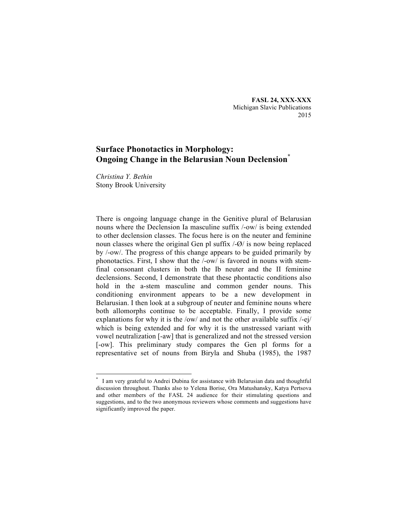**FASL 24, XXX-XXX** Michigan Slavic Publications 2015

# **Surface Phonotactics in Morphology: Ongoing Change in the Belarusian Noun Declension\***

*Christina Y. Bethin* Stony Brook University

There is ongoing language change in the Genitive plural of Belarusian nouns where the Declension Ia masculine suffix /-ow/ is being extended to other declension classes. The focus here is on the neuter and feminine noun classes where the original Gen pl suffix /-Ø/ is now being replaced by /-ow/. The progress of this change appears to be guided primarily by phonotactics. First, I show that the /-ow/ is favored in nouns with stemfinal consonant clusters in both the Ib neuter and the II feminine declensions. Second, I demonstrate that these phontactic conditions also hold in the a-stem masculine and common gender nouns. This conditioning environment appears to be a new development in Belarusian. I then look at a subgroup of neuter and feminine nouns where both allomorphs continue to be acceptable. Finally, I provide some explanations for why it is the /ow/ and not the other available suffix /-ej/ which is being extended and for why it is the unstressed variant with vowel neutralization [-aw] that is generalized and not the stressed version [-ow]. This preliminary study compares the Gen pl forms for a representative set of nouns from Biryla and Shuba (1985), the 1987

 <sup>\*</sup> I am very grateful to Andrei Dubina for assistance with Belarusian data and thoughtful discussion throughout. Thanks also to Yelena Borise, Ora Matushansky, Katya Pertsova and other members of the FASL 24 audience for their stimulating questions and suggestions, and to the two anonymous reviewers whose comments and suggestions have significantly improved the paper.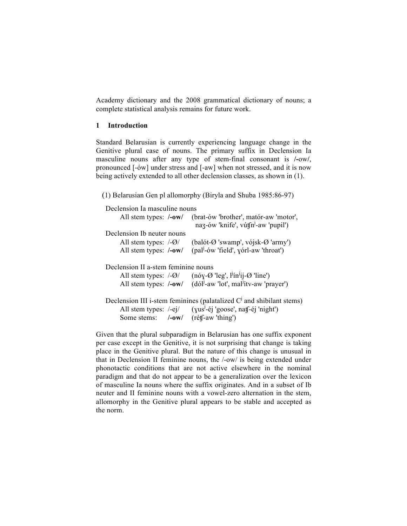Academy dictionary and the 2008 grammatical dictionary of nouns; a complete statistical analysis remains for future work.

# **1 Introduction**

Standard Belarusian is currently experiencing language change in the Genitive plural case of nouns. The primary suffix in Declension Ia masculine nouns after any type of stem-final consonant is **/-**ow**/**, pronounced [-ów] under stress and [-aw] when not stressed, and it is now being actively extended to all other declension classes, as shown in (1).

(1) Belarusian Gen pl allomorphy (Biryla and Shuba 1985:86-97)

| Declension Ia masculine nouns       |                                                                                                        |
|-------------------------------------|--------------------------------------------------------------------------------------------------------|
| All stem types: /-ow/               | (brat-ów 'brother', matór-aw 'motor',<br>naz-ów 'knife', vútfn <sup>-</sup> -aw 'pupil')               |
| Declension Ib neuter nouns          |                                                                                                        |
| All stem types: $\sqrt{-Q}$         | (balót-Ø 'swamp', vójsk-Ø 'army')                                                                      |
| All stem types: /-ow/               | (pal <sup>1</sup> -ów 'field', yórl-aw 'throat')                                                       |
| Declension II a-stem feminine nouns |                                                                                                        |
|                                     | All stem types: $\sqrt{-Q}$ (nóy- $\varnothing$ 'leg', $l^j$ in <sup>1</sup> ij- $\varnothing$ 'line') |
|                                     | All stem types: /-ow/ (dól <sup>-</sup> -aw 'lot', mal <sup>f</sup> ity-aw 'prayer')                   |
|                                     | Declension III i-stem feminines (palatalized C <sup>J</sup> and shibilant stems)                       |
|                                     | All stem types: /-ej/ (yus <sup>1</sup> -éj 'goose', nat <sup>-</sup> éj 'night')                      |
| Some stems: /-ow/ (rétf-aw 'thing') |                                                                                                        |

Given that the plural subparadigm in Belarusian has one suffix exponent per case except in the Genitive, it is not surprising that change is taking place in the Genitive plural. But the nature of this change is unusual in that in Declension II feminine nouns, the /-ow/ is being extended under phonotactic conditions that are not active elsewhere in the nominal paradigm and that do not appear to be a generalization over the lexicon of masculine Ia nouns where the suffix originates. And in a subset of Ib neuter and II feminine nouns with a vowel-zero alternation in the stem, allomorphy in the Genitive plural appears to be stable and accepted as the norm.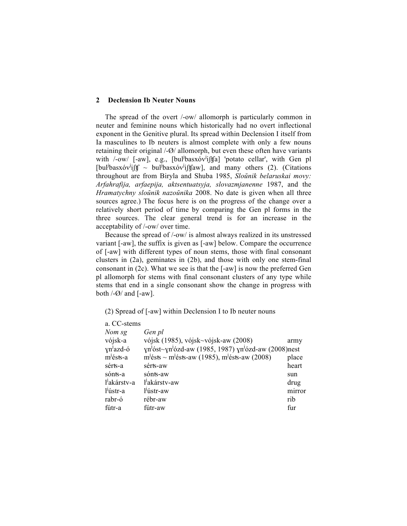## **2 Declension Ib Neuter Nouns**

The spread of the overt /-ow/ allomorph is particularly common in neuter and feminine nouns which historically had no overt inflectional exponent in the Genitive plural. Its spread within Declension I itself from Ia masculines to Ib neuters is almost complete with only a few nouns retaining their original /-Ø/ allomorph, but even these often have variants with /-ow/ [-aw], e.g., [bul<sup>i</sup>basxov<sup>i</sup>ifta] 'potato cellar', with Gen pl [bul<sup>j</sup>basxóv<sup>j</sup>ift] ~ bul<sup>j</sup>basxóv<sup>j</sup>ift[aw], and many others (2). (Citations throughout are from Biryla and Shuba 1985, *Sloŭnik belaruskai movy: Arfahrafija, arfaepija, aktsentuatsyja, slovazmjanenne* 1987, and the *Hramatychny sloŭnik nazoŭnika* 2008. No date is given when all three sources agree.) The focus here is on the progress of the change over a relatively short period of time by comparing the Gen pl forms in the three sources. The clear general trend is for an increase in the acceptability of /-ow/ over time.

Because the spread of /-ow/ is almost always realized in its unstressed variant [-aw], the suffix is given as [-aw] below. Compare the occurrence of [-aw] with different types of noun stems, those with final consonant clusters in (2a), geminates in (2b), and those with only one stem-final consonant in (2c). What we see is that the [-aw] is now the preferred Gen pl allomorph for stems with final consonant clusters of any type while stems that end in a single consonant show the change in progress with both  $\frac{1}{9}$  and  $\frac{1}{9}$  aw].

(2) Spread of [-aw] within Declension I to Ib neuter nouns

| Gen pl                              |                                                                                                                                                                            |
|-------------------------------------|----------------------------------------------------------------------------------------------------------------------------------------------------------------------------|
| vójsk (1985), vójsk~vójsk-aw (2008) | army                                                                                                                                                                       |
|                                     |                                                                                                                                                                            |
|                                     | place                                                                                                                                                                      |
| sérts-aw                            | heart                                                                                                                                                                      |
| sónts-aw                            | sun                                                                                                                                                                        |
| l <sup>j</sup> akárstv-aw           | drug                                                                                                                                                                       |
| l <sup>j</sup> ústr-aw              | mirror                                                                                                                                                                     |
| rébr-aw                             | rib                                                                                                                                                                        |
| fútr-aw                             | fur                                                                                                                                                                        |
|                                     | a. CC-stems<br>$yn^{j}$ óst~ $yn^{j}$ ózd-aw (1985, 1987) $yn^{j}$ ózd-aw (2008)nest<br>m <sup>j</sup> ésts ~ m <sup>j</sup> ésts-aw (1985), m <sup>j</sup> ésts-aw (2008) |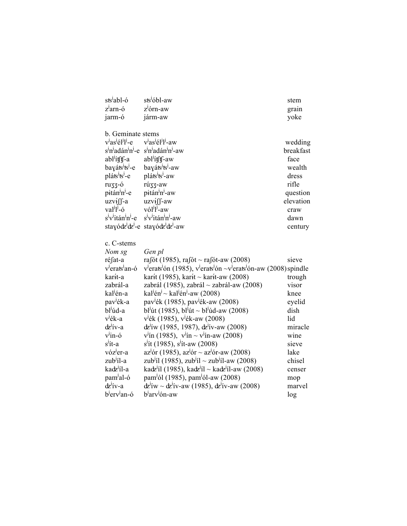| sts <sup>J</sup> abl-ó                                            | sts <sup>j</sup> óbl-aw                                                                                                                   | stem      |
|-------------------------------------------------------------------|-------------------------------------------------------------------------------------------------------------------------------------------|-----------|
| z <sup>j</sup> arn-ó                                              | z <sup>j</sup> órn-aw                                                                                                                     | grain     |
| jarm-ó                                                            | járm-aw                                                                                                                                   | yoke      |
|                                                                   |                                                                                                                                           |           |
| b. Geminate stems                                                 |                                                                                                                                           |           |
| $v^j$ as <sup>j</sup> él <sup>j</sup> ] <sup>j</sup> -e           | v <sup>j</sup> as <sup>j</sup> él <sup>j</sup> l <sup>j</sup> -aw                                                                         | wedding   |
| s <sup>1</sup> n <sup>1</sup> adán <sup>1</sup> n <sup>1</sup> -e | $sjnj$ adán <sup><math>j</math></sup> n <sup><math>j</math></sup> -aw                                                                     | breakfast |
| abl <sup>j</sup> ífff-a                                           | abl <sup>j</sup> ítft-aw                                                                                                                  | face      |
| bayáts <sup>j</sup> ts <sup>j</sup> -e                            | bayáts <sup>j</sup> ts <sup>j</sup> -aw                                                                                                   | wealth    |
| pláts <sup>j</sup> ts <sup>j</sup> -e                             | pláts <sup>j</sup> ts <sup>1</sup> -aw                                                                                                    | dress     |
| ruzz-ó                                                            | rú33-aw                                                                                                                                   | rifle     |
| pitán <sup>J</sup> n <sup>J</sup> -e                              | pitán <sup>J</sup> n <sup>J</sup> -aw                                                                                                     | question  |
| $u$ zv <del>í</del> ff-a                                          | uzv <del>í</del> ∬-aw                                                                                                                     | elevation |
| $val^{j}l^{j}$ -ó                                                 | vól <sup>j</sup> l <sup>j</sup> -aw                                                                                                       | craw      |
| s <sup>j</sup> v <sup>j</sup> itán <sup>j</sup> n <sup>j</sup> -e | $s^jv^j$ itán <sup><math>j</math></sup> n <sup><math>j</math></sup> -aw                                                                   | dawn      |
|                                                                   | stayódz <sup>i</sup> dz <sup>i</sup> -e stayódz <sup>i</sup> dz <sup>i</sup> -aw                                                          | century   |
|                                                                   |                                                                                                                                           |           |
| c. C-stems                                                        |                                                                                                                                           |           |
| Nom sg                                                            | Gen pl                                                                                                                                    |           |
| ré∫at-a                                                           | rafót (1985), rafót ~ rafót-aw (2008)                                                                                                     | sieve     |
| v <sup>j</sup> erats <sup>j</sup> an-ó                            | v <sup>1</sup> erats <sup>1</sup> ón (1985), v <sup>1</sup> erats <sup>1</sup> ón ~v <sup>1</sup> erats <sup>1</sup> ón-aw (2008) spindle |           |
| kar <del>í</del> t-a                                              | karít (1985), karít ~ karít-aw (2008)                                                                                                     | trough    |
| zabrál-a                                                          | zabrál (1985), zabrál ~ zabrál-aw (2008)                                                                                                  | visor     |
| kal <sup>j</sup> én-a                                             | kal <sup>j</sup> én <sup>j</sup> ~ kal <sup>j</sup> én <sup>j</sup> -aw (2008)                                                            | knee      |
| pav <sup>j</sup> ék-a                                             | pav <sup>j</sup> ék (1985), pav <sup>j</sup> ék-aw (2008)                                                                                 | eyelid    |
| bl <sup>j</sup> úd-a                                              | bl <sup>j</sup> út (1985), bl <sup>j</sup> út ~ bl <sup>j</sup> úd-aw (2008)                                                              | dish      |
| v <sup>j</sup> ék-a                                               | $v^j$ ék (1985), v <sup><i>j</i></sup> ék-aw (2008)                                                                                       | lid       |
| $d\nz$ <sup>j</sup> ív-a                                          | $d\vec{z}$ <sup>'</sup> iw (1985, 1987), $d\vec{z}$ <sup>'</sup> iv-aw (2008)                                                             | miracle   |
| $v^{\text{ln}}$ -ó                                                | $v^{j}$ ín (1985), $v^{j}$ ín ~ $v^{j}$ ín-aw (2008)                                                                                      | wine      |
| s <sup>j</sup> ít-a                                               | $s^j$ ít (1985), s <sup>j</sup> ít-aw (2008)                                                                                              | sieve     |
| vóz <sup>j</sup> er-a                                             | $az'$ ór (1985), $az'$ ór ~ $az'$ ór-aw (2008)                                                                                            | lake      |
| zub <sup>j</sup> íl-a                                             | zub <sup>j</sup> íl (1985), zub <sup>j</sup> íl ~ zub <sup>j</sup> íl-aw (2008)                                                           | chisel    |
| kadz <sup>j</sup> íl-a                                            | kadz <sup>i</sup> íl (1985), kadz <sup>i</sup> íl ~ kadz <sup>i</sup> íl-aw (2008)                                                        | censer    |
| pam <sup>J</sup> al-ó                                             | pam <sup>j</sup> ól (1985), pam <sup>j</sup> ól-aw (2008)                                                                                 | mop       |
| $d\nu$ <sup>1</sup> iv-a                                          | $dz$ <sup>1</sup> íw ~ $dz$ <sup>1</sup> ív-aw (1985), $dz$ <sup>1</sup> ív-aw (2008)                                                     | marvel    |
| b <sup>j</sup> erv <sup>j</sup> an-ó                              | b <sup>j</sup> arv <sup>j</sup> ón-aw                                                                                                     | log       |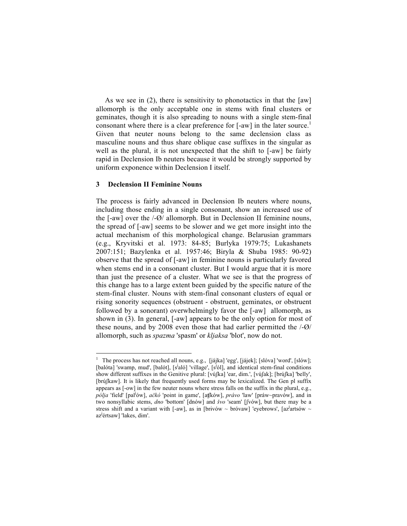As we see in (2), there is sensitivity to phonotactics in that the [aw] allomorph is the only acceptable one in stems with final clusters or geminates, though it is also spreading to nouns with a single stem-final consonant where there is a clear preference for [-aw] in the later source.<sup>1</sup> Given that neuter nouns belong to the same declension class as masculine nouns and thus share oblique case suffixes in the singular as well as the plural, it is not unexpected that the shift to [-aw] be fairly rapid in Declension Ib neuters because it would be strongly supported by uniform exponence within Declension I itself.

# **3 Declension II Feminine Nouns**

The process is fairly advanced in Declension Ib neuters where nouns, including those ending in a single consonant, show an increased use of the [-aw] over the /-Ø/ allomorph. But in Declension II feminine nouns, the spread of [-aw] seems to be slower and we get more insight into the actual mechanism of this morphological change. Belarusian grammars (e.g., Kryvitski et al. 1973: 84-85; Burlyka 1979:75; Lukashanets 2007:151; Bazylenka et al. 1957:46; Biryla & Shuba 1985: 90-92) observe that the spread of [-aw] in feminine nouns is particularly favored when stems end in a consonant cluster. But I would argue that it is more than just the presence of a cluster. What we see is that the progress of this change has to a large extent been guided by the specific nature of the stem-final cluster. Nouns with stem-final consonant clusters of equal or rising sonority sequences (obstruent - obstruent, geminates, or obstruent followed by a sonorant) overwhelmingly favor the [-aw] allomorph, as shown in (3). In general, [-aw] appears to be the only option for most of these nouns, and by 2008 even those that had earlier permitted the /-Ø/ allomorph, such as *spazma* 'spasm' or *kljaksa* 'blot', now do not.

<sup>&</sup>lt;sup>1</sup> The process has not reached all nouns, e.g., [jájka] 'egg', [jájek]; [slóva] 'word', [slów]; [balóta] 'swamp, mud', [balót], [s<sup>i</sup>aló] 'village', [s<sup>i</sup>ól], and identical stem-final conditions show different suffixes in the Genitive plural: [vúʃka] 'ear, dim.', [vúʃak]; [brúʃka] 'belly', [brúßaw]. It is likely that frequently used forms may be lexicalized. The Gen pl suffix appears as [-ow] in the few neuter nouns where stress falls on the suffix in the plural, e.g., *pólja* 'field' [pal<sup>j</sup> ów], *ačkó* 'point in game', [aʧków], *právo* 'law' [práw~pravów], and in two nonsyllabic stems, *dno* 'bottom' [dnów] and *švo* 'seam' [ʃvów], but there may be a stress shift and a variant with  $[-aw]$ , as in  $[brivów \sim brovaw]$  'eyebrows',  $[az]$ <sup>artsów</sup> ~ az<sup>j</sup>értsaw] 'lakes, dim'.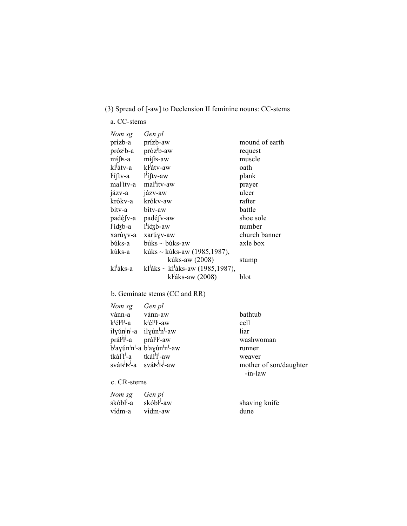# (3) Spread of [-aw] to Declension II feminine nouns: CC-stems

a. CC-stems

| Nom sg                 | Gen pl                                                                       |                |
|------------------------|------------------------------------------------------------------------------|----------------|
| prízb-a                | pr <del>í</del> zb-aw                                                        | mound of earth |
| próz <sup>j</sup> b-a  | próz <sup><i>l</i></sup> b-aw                                                | request        |
| $m$ ifts-a             | $m$ ifts-aw                                                                  | muscle         |
| kl <sup>j</sup> átv-a  | kľátv-aw                                                                     | oath           |
| $l^{j}$ iftv-a         | $l'$ iftv-aw                                                                 | plank          |
| mal <sup>j</sup> ítv-a | mal <sup>j</sup> ítv-aw                                                      | prayer         |
| jázv-a                 | jázv-aw                                                                      | ulcer          |
| krókv-a                | krókv-aw                                                                     | rafter         |
| bítv-a                 | bíty-aw                                                                      | battle         |
| padé fv-a              | padé fv-aw                                                                   | shoe sole      |
| $l'$ idzb-a            | $l'$ idzb-aw                                                                 | number         |
| xarúyv-a               | xarúyv-aw                                                                    | church banner  |
| búks-a                 | $búks \sim búks-aw$                                                          | axle box       |
| kúks-a                 | kúks ~ kúks-aw (1985,1987),                                                  |                |
|                        | kúks-aw (2008)                                                               | stump          |
| kl <sup>j</sup> áks-a  | k <sup><math>\mu</math></sup> áks ~ k $\mu$ <sup>3</sup> áks-aw (1985,1987), |                |
|                        | kľáks-aw (2008)                                                              | blot           |

# b. Geminate stems (CC and RR)

| Nom sg                                                                           | Gen pl                                                                               |                        |
|----------------------------------------------------------------------------------|--------------------------------------------------------------------------------------|------------------------|
| vánn-a vánn-aw                                                                   |                                                                                      | bathtub                |
| $k^{j} \acute{\text{e}} l^{j} l^{j}$ -a $k^{j} \acute{\text{e}} l^{j} l^{j}$ -aw |                                                                                      | cell                   |
|                                                                                  | ilyún <sup>j</sup> n <sup>j</sup> -a ilyún <sup>j</sup> n <sup>j</sup> -aw           | liar                   |
| prál <sup>j</sup> l-a prál <sup>j</sup> l-aw                                     |                                                                                      | washwoman              |
|                                                                                  | $b^j$ ayún <sup>j</sup> n <sup>j</sup> -a $b^j$ ayún <sup>j</sup> n <sup>j</sup> -aw | runner                 |
| tkál <sup>j</sup> l <sup>j</sup> -a tkál <sup>j</sup> l <sup>j</sup> -aw         |                                                                                      | weaver                 |
|                                                                                  | $sv$ áts <sup>j</sup> ts <sup>j</sup> -a sváts <sup>j</sup> ts <sup>j</sup> -aw      | mother of son/daughter |
|                                                                                  |                                                                                      | -in-law                |
| c. CR-stems                                                                      |                                                                                      |                        |
| Nom sg                                                                           | Gen pl                                                                               |                        |
| skóbl <sup>j</sup> -a skóbl <sup>j</sup> -aw                                     |                                                                                      | shaving knife          |
| v <del>í</del> dm-a                                                              | vídm-aw                                                                              | dune                   |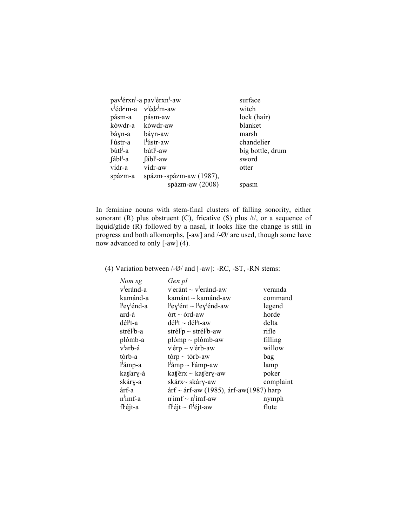| pav <sup>j</sup> érxn <sup>j</sup> -a pav <sup>j</sup> érxn <sup>j</sup> -aw | surface          |
|------------------------------------------------------------------------------|------------------|
| $v^{j}$ édz <sup>i</sup> m-a v <sup>j</sup> édz <sup>i</sup> m-aw            | witch            |
| pásm-aw                                                                      | lock (hair)      |
| kówdr-a<br>kówdr-aw                                                          | blanket          |
| báyn-aw                                                                      | marsh            |
| l'ústr-aw                                                                    | chandelier       |
| bútl <sup>j</sup> -aw                                                        | big bottle, drum |
| $[$ ábl <sup><math>]</math></sup> -aw                                        | sword            |
| vídr-aw                                                                      | otter            |
| spázm~spázm-aw (1987),                                                       |                  |
| spázm-aw $(2008)$                                                            | spasm            |
|                                                                              |                  |

In feminine nouns with stem-final clusters of falling sonority, either sonorant (R) plus obstruent (C), fricative (S) plus  $/t/$ , or a sequence of liquid/glide (R) followed by a nasal, it looks like the change is still in progress and both allomorphs, [-aw] and /-Ø/ are used, though some have now advanced to only [-aw] (4).

# (4) Variation between /-Ø/ and [-aw]: -RC, -ST, -RN stems:

| Nom sg                               | Gen pl                                                                       |           |
|--------------------------------------|------------------------------------------------------------------------------|-----------|
| v <sup>J</sup> eránd-a               | $v^j$ eránt ~ $v^j$ eránd-aw                                                 | veranda   |
| kamánd-a                             | kamánt ~ kamánd-aw                                                           | command   |
| l <sup>j</sup> ey <sup>j</sup> énd-a | $ljeyjent \sim ljeyjend-aw$                                                  | legend    |
| ard-á                                | $\text{órt} \sim \text{órd-aw}$                                              | horde     |
| dél <sup>'</sup> t-a                 | $d\acute{e}l^{\dagger}t \sim d\acute{e}l^{\dagger}t$ -aw                     | delta     |
| strél <sup>j</sup> b-a               | strél <sup><math>\nu</math></sup> p ~ strél <sup><math>\nu</math></sup> b-aw | rifle     |
| plómb-a                              | $plomp \sim plómb$ -aw                                                       | filling   |
| v <sup>l</sup> arb-á                 | $v^{j}$ érp ~ v <sup><math>j</math></sup> érb-aw                             | willow    |
| tórb-a                               | tórp $\sim$ tórb-aw                                                          | bag       |
| l'ámp-a                              | $lj$ ámp ~ $lj$ ámp-aw                                                       | lamp      |
| katfary-á                            | katférx $\sim$ katféry-aw                                                    | poker     |
| skáry-a                              | skárx~ skáry-aw                                                              | complaint |
| árf-a                                | árf ~ árf-aw (1985), árf-aw(1987) harp                                       |           |
| n <sup>J</sup> ímf-a                 | $n^{j}$ imf ~ $n^{j}$ imf-aw                                                 | nymph     |
| fl <sup>j</sup> éjt-a                | fl <sup>j</sup> éjt ~ fl <sup>j</sup> éjt-aw                                 | flute     |
|                                      |                                                                              |           |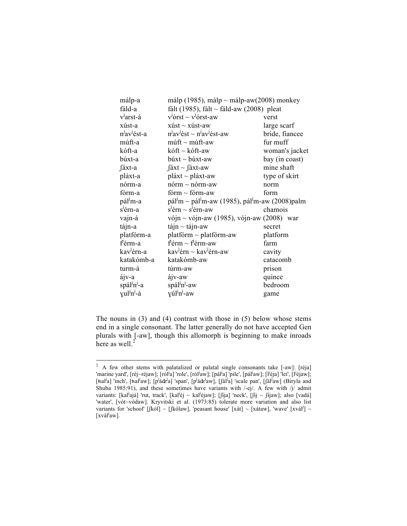| málp-a                               | málp (1985), málp ~ málp-aw(2008) monkey                                             |                |
|--------------------------------------|--------------------------------------------------------------------------------------|----------------|
| fáld-a                               | fált (1985), fált ~ fáld-aw (2008) pleat                                             |                |
| v <sup>l</sup> arst-á                | $v^{j}$ órst ~ $v^{j}$ órst-aw                                                       | verst          |
| xúst-a                               | $x$ úst ~ xúst-aw                                                                    | large scarf    |
| n <sup>J</sup> av <sup>J</sup> ést-a | $n^j$ av <sup><math>j</math></sup> ést ~ $n^j$ av $^j$ ést-aw                        | bride, fiancee |
| múft-a                               | $m$ úft ~ múft-aw                                                                    | fur muff       |
| kóft-a                               | kóft ~ kóft-aw                                                                       | woman's jacket |
| búxt-a                               | $b$ úxt ~ $b$ úxt-aw                                                                 | bay (in coast) |
| ∫áxt-a                               | $\int \n\alpha x t \sim \int \n\alpha x t - \alpha w$                                | mine shaft     |
| pláxt-a                              | $pl$ áxt ~ pláxt-aw                                                                  | type of skirt  |
| nórm-a                               | $nórm \sim nórm \text{-}aw$                                                          | norm           |
| fórm-a                               | fórm $\sim$ fórm-aw                                                                  | form           |
| pál <sup>j</sup> m-a                 | pál <sup>J</sup> m ~ pál <sup>J</sup> m-aw (1985), pál <sup>J</sup> m-aw (2008) palm |                |
| s <sup>j</sup> érn-a                 | $s^j$ érn ~ $s^j$ érn-aw                                                             | chamois        |
| vajn-á                               | vójn ~ vójn-aw (1985), vójn-aw (2008) war                                            |                |
| tájn-a                               | $\tan \sim \tan -\tan \theta$                                                        | secret         |
| platfórm-a                           | platfórm $\sim$ platfórm-aw                                                          | platform       |
| f <sup>j</sup> érm-a                 | $f3$ érm ~ f <sup>3</sup> érm-aw                                                     | farm           |
| kav <sup>j</sup> érn-a               | kav <sup><math>1</math></sup> érn ~ kav $1$ érn-aw                                   | cavity         |
| katakómb-a                           | katakómb-aw                                                                          | catacomb       |
| turm-á                               | túrm-aw                                                                              | prison         |
| ájv-a                                | ájv-aw                                                                               | quince         |
| spál <sup>j</sup> n <sup>j</sup> -a  | spál <sup>j</sup> n <sup>j</sup> -aw                                                 | bedroom        |
| yul <sup>j</sup> n <sup>j</sup> -á   | yúl <sup>j</sup> n <sup>j</sup> -aw                                                  | game           |

The nouns in (3) and (4) contrast with those in (5) below whose stems end in a single consonant. The latter generally do not have accepted Gen plurals with [-aw], though this allomorph is beginning to make inroads here as well.<sup>2</sup>

<sup>&</sup>lt;sup>2</sup> A few other stems with palatalized or palatal single consonants take  $[-\text{aw}]$ :  $[r\dot{e}]a]$ 'marine yard', [réj~réjaw]; [ról<sup>j</sup>a] 'role', [ról<sup>j</sup>aw]; [pál<sup>j</sup>a] 'pile', [pál<sup>j</sup>aw]; [l<sup>j</sup>éja] 'lei', [l<sup>j</sup>éjaw]; [tsal<sup>j</sup>a] 'inch', [tsal<sup>j</sup>aw]; [p<sup>j</sup>ádz<sup>j</sup>a] 'span', [p<sup>j</sup>ádz<sup>j</sup>aw], [fál<sup>j</sup>a] 'scale pan', [fál<sup>j</sup>aw] (Biryla and Shuba 1985:91), and these sometimes have variants with /-ej/. A few with /j/ admit variants: [kal<sup>j</sup>ajá] 'rut, track', [kal<sup>j</sup>éj ~ kal<sup>j</sup>éjaw]; [ʃɨja] 'neck', [ʃɨj ~ ʃɨjaw]; also [vadá] 'water', [vót~vódaw]. Kryvitski et al. (1973:85) tolerate more variation and also list variants for 'school' [ʃkól] ~ [ʃkólaw], 'peasant house' [xát] ~ [xátaw], 'wave' [xvál<sup>j</sup>] ~ [xvál<sup>j</sup>aw].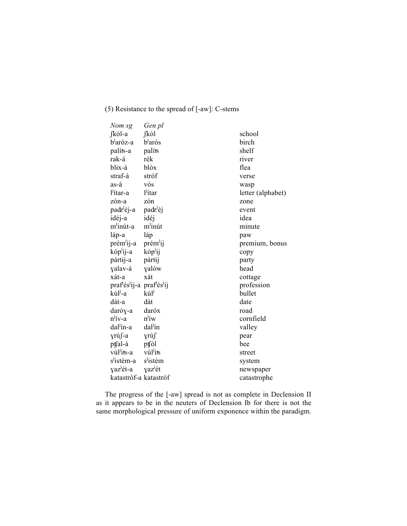# (5) Resistance to the spread of [-aw]: C-stems

| Nom sg                                                                      | Gen pl               |                   |
|-----------------------------------------------------------------------------|----------------------|-------------------|
| $[kó]$ -a                                                                   | [kól                 | school            |
| b <sup>j</sup> aróz-a                                                       | b <sup>J</sup> arós  | birch             |
| palíts-a                                                                    | palíts               | shelf             |
| rak-á                                                                       | rék                  | river             |
| blix-á                                                                      | blóx                 | flea              |
| straf-á                                                                     | stróf                | verse             |
| as-á                                                                        | vós                  | wasp              |
| l'ítar-a                                                                    | l <sup>j</sup> ítar  | letter (alphabet) |
| zón-a                                                                       | zón                  | zone              |
| padz <sup>j</sup> éj-a                                                      | padz <sup>j</sup> éj | event             |
| idéj-a                                                                      | idéj                 | idea              |
| m <sup>j</sup> inút-a                                                       | $m^j$ inút           | minute            |
| láp-a                                                                       | láp                  | paw               |
| prém <sup>j</sup> ij-a                                                      | prém <sup>j</sup> ij | premium, bonus    |
| kóp <sup>j</sup> ij-a                                                       | kóplij               | copy              |
| pártij-a                                                                    | pártij               | party             |
| yalav-á                                                                     | yalów                | head              |
| xát-a                                                                       | xát                  | cottage           |
| praf <sup>j</sup> és <sup>j</sup> ij-a praf <sup>j</sup> és <sup>j</sup> ij |                      | profession        |
| kúl <sup>j</sup> -a                                                         | kúl                  | bullet            |
| dát-a                                                                       | dát                  | date              |
| daróy-a                                                                     | daróx                | road              |
| $n^j$ ív-a                                                                  | $n^{j}$ íw           | cornfield         |
| dal <sup>j</sup> ín-a                                                       | dal <sup>j</sup> ín  | valley            |
| γrú∫-a                                                                      | γrú∫                 | pear              |
| ptfal-á                                                                     | ptfól                | bee               |
| vúl <sup>j</sup> its-a                                                      | vúl <sup>j</sup> its | street            |
| s <sup>j</sup> istém-a                                                      | s <sup>j</sup> istém | system            |
| yaz <sup>j</sup> ét-a                                                       | yaz <sup>j</sup> ét  | newspaper         |
| katastróf-a katastróf                                                       |                      | catastrophe       |

The progress of the [-aw] spread is not as complete in Declension II as it appears to be in the neuters of Declension Ib for there is not the same morphological pressure of uniform exponence within the paradigm.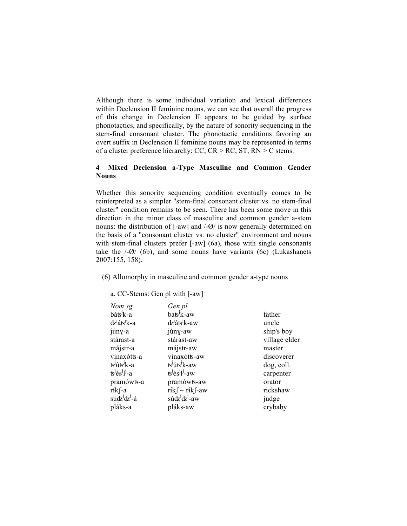Although there is some individual variation and lexical differences within Declension II feminine nouns, we can see that overall the progress of this change in Declension II appears to be guided by surface phonotactics, and specifically, by the nature of sonority sequencing in the stem-final consonant cluster. The phonotactic conditions favoring an overt suffix in Declension II feminine nouns may be represented in terms of a cluster preference hierarchy:  $CC$ ,  $CR > RC$ ,  $ST$ ,  $RN > C$  stems.

# **4 Mixed Declension a-Type Masculine and Common Gender Nouns**

Whether this sonority sequencing condition eventually comes to be reinterpreted as a simpler "stem-final consonant cluster vs. no stem-final cluster" condition remains to be seen. There has been some move in this direction in the minor class of masculine and common gender a-stem nouns: the distribution of [-aw] and /-Ø/ is now generally determined on the basis of a "consonant cluster vs. no cluster" environment and nouns with stem-final clusters prefer [-aw] (6a), those with single consonants take the  $\frac{1}{9}$  (6b), and some nouns have variants (6c) (Lukashanets 2007:155, 158).

(6) Allomorphy in masculine and common gender a-type nouns

a. CC-Stems: Gen pl with [-aw]

| Nom sg                               | Gen pl                                   |               |
|--------------------------------------|------------------------------------------|---------------|
| báts <sup>j</sup> k-a                | báts <sup>j</sup> k-aw                   | father        |
| dz <sup>j</sup> áts <sup>j</sup> k-a | dz <sup>j</sup> áts <sup>j</sup> k-aw    | uncle         |
| júny-a                               | júny-aw                                  | ship's boy    |
| stárast-a                            | stárast-aw                               | village elder |
| májstr-a                             | májstr-aw                                | master        |
| vinaxótts-a                          | vinaxótts-aw                             | discoverer    |
| ts <sup>j</sup> úts <sup>j</sup> k-a | ts <sup>J</sup> úts <sup>J</sup> k-aw    | dog, coll.    |
| ts <sup>j</sup> és <sup>j</sup> l-a  | $ts^j \acute{e}s^j l^j$ -aw              | carpenter     |
| pramówts-a                           | pramówts-aw                              | orator        |
| r <del>í</del> k f-a                 | r <del>í</del> k $\int$ ~ rík $\int$ -aw | rickshaw      |
| sudz <sup>j</sup> dz <sup>j</sup> -á | súdz <sup>j</sup> dz <sup>j</sup> -aw    | judge         |
| pláks-a                              | pláks-aw                                 | crybaby       |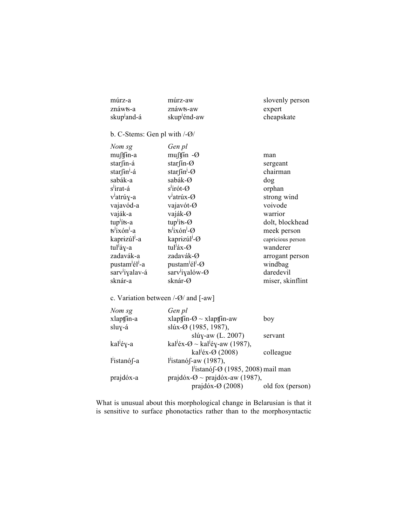| múrz-a                                                                         | múrz-aw                                                 | slovenly person   |
|--------------------------------------------------------------------------------|---------------------------------------------------------|-------------------|
| znáwts-a                                                                       | znáwts-aw                                               | expert            |
| skup <sup>J</sup> and-á                                                        | skup <sup>j</sup> énd-aw                                | cheapskate        |
|                                                                                |                                                         |                   |
| b. C-Stems: Gen pl with $\sqrt{-Q}$ /                                          |                                                         |                   |
| Nom sg                                                                         | Gen pl                                                  |                   |
| muftín-a                                                                       | $mu$ fin - $\emptyset$                                  | man               |
| star∫ <del>i</del> n-á                                                         | starfin- $\varnothing$                                  | sergeant          |
| star∫ <del>i</del> n <sup>j</sup> -á                                           | starfin <sup>j</sup> -Ø                                 | chairman          |
| sabák-a                                                                        | sabák-Ø                                                 | dog               |
| s <sup>J</sup> irat-á                                                          | $s^j$ irót- $\varnothing$                               | orphan            |
| v <sup>j</sup> atrúy-a                                                         | $v^{\text{I}}$ atrúx- $\varnothing$                     | strong wind       |
| vajavód-a                                                                      | vajavót-Ø                                               | voivode           |
| vaják-a                                                                        | vaják-Ø                                                 | warrior           |
| tup <sup>j</sup> íts-a                                                         | tup <sup><math>\mathbf{j}</math></sup> its- $\emptyset$ | dolt, blockhead   |
| ts <sup>j</sup> ixón <sup>j</sup> -a                                           | $t\sin^j x$ on $\cos^j t$                               | meek person       |
| kaprizúl <sup>j</sup> -a                                                       | kaprizúl <sup>j</sup> -Ø                                | capricious person |
| tul <sup>j</sup> áy-a                                                          | tul <sup>j</sup> áx-Ø                                   | wanderer          |
| zadavák-a                                                                      | zadavák-Ø                                               | arrogant person   |
| pustam <sup>j</sup> él <sup>j</sup> -a                                         | pustam <sup>j</sup> él <sup>j</sup> -Ø                  | windbag           |
| sarv <sup>i</sup> iyalav-á                                                     | sarv <sup>1</sup> iyalów- $\varnothing$                 | daredevil         |
| sknár-a                                                                        | sknár-Ø                                                 | miser, skinflint  |
|                                                                                |                                                         |                   |
| c. Variation between $\frac{\partial}{\partial \theta}$ and $\left[-aw\right]$ |                                                         |                   |
| Nom sg                                                                         | Gen pl                                                  |                   |
| xlaptfín-a                                                                     | xlaptjin- $\emptyset \sim x$ laptjin-aw                 | boy               |
| sluy-á                                                                         | slúx-Ø (1985, 1987),                                    |                   |
|                                                                                | slúy-aw (L. 2007)                                       | servant           |
| kal <sup>j</sup> éy-a                                                          | kal <sup>j</sup> éx-Ø ~ kal <sup>j</sup> éy-aw (1987),  |                   |
|                                                                                | kal <sup>j</sup> éx-Ø (2008)                            | colleague         |
| l <sup>j</sup> istanó∫-a                                                       | $l'$ istanó f-aw (1987),                                |                   |
| l'istanó $\int$ - $\varnothing$ (1985, 2008) mail man                          |                                                         |                   |
| prajdóx-a                                                                      | prajdóx- $\varnothing$ ~ prajdóx-aw (1987),             |                   |

What is unusual about this morphological change in Belarusian is that it is sensitive to surface phonotactics rather than to the morphosyntactic

prajdóx- $\varnothing$  (2008) old fox (person)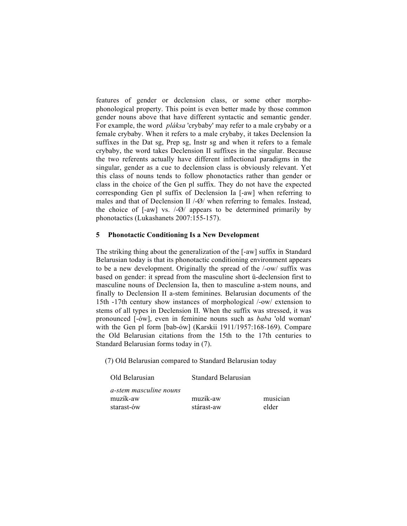features of gender or declension class, or some other morphophonological property. This point is even better made by those common gender nouns above that have different syntactic and semantic gender. For example, the word *pláksa* 'crybaby' may refer to a male crybaby or a female crybaby. When it refers to a male crybaby, it takes Declension Ia suffixes in the Dat sg, Prep sg, Instr sg and when it refers to a female crybaby, the word takes Declension II suffixes in the singular. Because the two referents actually have different inflectional paradigms in the singular, gender as a cue to declension class is obviously relevant. Yet this class of nouns tends to follow phonotactics rather than gender or class in the choice of the Gen pl suffix. They do not have the expected corresponding Gen pl suffix of Declension Ia [-aw] when referring to males and that of Declension II /-Ø/ when referring to females. Instead, the choice of  $[-aw]$  vs.  $\frac{1}{9}$  appears to be determined primarily by phonotactics (Lukashanets 2007:155-157).

## **5 Phonotactic Conditioning Is a New Development**

The striking thing about the generalization of the [-aw] suffix in Standard Belarusian today is that its phonotactic conditioning environment appears to be a new development. Originally the spread of the /-ow/ suffix was based on gender: it spread from the masculine short ŭ-declension first to masculine nouns of Declension Ia, then to masculine a-stem nouns, and finally to Declension II a-stem feminines. Belarusian documents of the 15th -17th century show instances of morphological /-ow/ extension to stems of all types in Declension II. When the suffix was stressed, it was pronounced [-ów], even in feminine nouns such as *baba* 'old woman' with the Gen pl form [bab-ów] (Karskii 1911/1957:168-169). Compare the Old Belarusian citations from the 15th to the 17th centuries to Standard Belarusian forms today in (7).

(7) Old Belarusian compared to Standard Belarusian today

| Old Belarusian         | Standard Belarusian   |          |
|------------------------|-----------------------|----------|
| a-stem masculine nouns |                       |          |
| muz <del>í</del> k-aw  | muz <del>í</del> k-aw | musician |
| starast-ów             | stárast-aw            | elder    |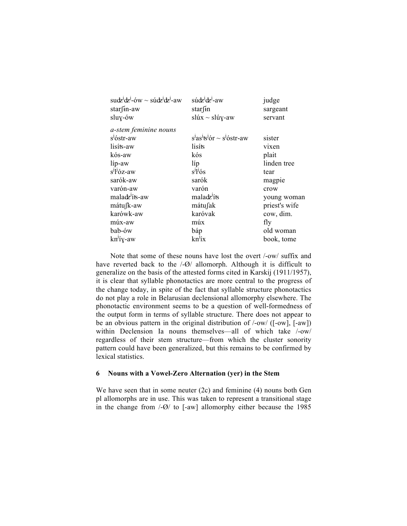| sudz <sup>i</sup> dz <sup>i</sup> -ów ~ súdz <sup>i</sup> dz <sup>i</sup> -aw | $s$ údz <sup>j</sup> dz <sup>j</sup> -aw | judge         |
|-------------------------------------------------------------------------------|------------------------------------------|---------------|
| starfin-aw                                                                    | star∫in                                  | sargeant      |
| sluy-ów                                                                       | slúx ~ slúy-aw                           | servant       |
| a-stem feminine nouns                                                         |                                          |               |
| s <sup>J</sup> óstr-aw                                                        | $sjasjsj$ or $\sim$ $sj$ ostr-aw         | sister        |
| lisíts-aw                                                                     | lisíts                                   | vixen         |
| kós-aw                                                                        | kós                                      | plait         |
| líp-aw                                                                        | líp                                      | linden tree   |
| $s^j l^j$ óz-aw                                                               | $s^j l^j \dot{\sigma} s$                 | tear          |
| sarók-aw                                                                      | sarók                                    | magpie        |
| varón-aw                                                                      | varón                                    | crow          |
| maladz <sup>j</sup> íts-aw                                                    | maladz <sup>j</sup> íts                  | young woman   |
| mátu∫k-aw                                                                     | mátufak                                  | priest's wife |
| karówk-aw                                                                     | karóvak                                  | cow, dim.     |
| múx-aw                                                                        | múx                                      | fly           |
| bab-ów                                                                        | báp                                      | old woman     |
| kn <sup>j</sup> íy-aw                                                         | $kn^{j}iX$                               | book, tome    |
|                                                                               |                                          |               |

Note that some of these nouns have lost the overt /-ow/ suffix and have reverted back to the  $\sqrt{-Q}$  allomorph. Although it is difficult to generalize on the basis of the attested forms cited in Karskij (1911/1957), it is clear that syllable phonotactics are more central to the progress of the change today, in spite of the fact that syllable structure phonotactics do not play a role in Belarusian declensional allomorphy elsewhere. The phonotactic environment seems to be a question of well-formedness of the output form in terms of syllable structure. There does not appear to be an obvious pattern in the original distribution of /-ow/ ([-ow], [-aw]) within Declension Ia nouns themselves—all of which take /-ow/ regardless of their stem structure—from which the cluster sonority pattern could have been generalized, but this remains to be confirmed by lexical statistics.

#### **6 Nouns with a Vowel-Zero Alternation (yer) in the Stem**

We have seen that in some neuter (2c) and feminine (4) nouns both Gen pl allomorphs are in use. This was taken to represent a transitional stage in the change from /-Ø/ to [-aw] allomorphy either because the 1985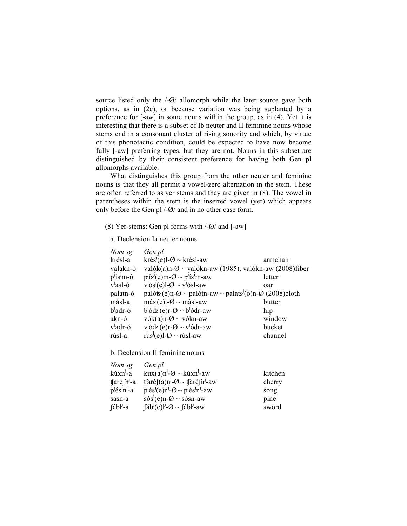source listed only the  $\sqrt{-Q}$  allomorph while the later source gave both options, as in (2c), or because variation was being suplanted by a preference for [-aw] in some nouns within the group, as in (4). Yet it is interesting that there is a subset of Ib neuter and II feminine nouns whose stems end in a consonant cluster of rising sonority and which, by virtue of this phonotactic condition, could be expected to have now become fully [-aw] preferring types, but they are not. Nouns in this subset are distinguished by their consistent preference for having both Gen pl allomorphs available.

What distinguishes this group from the other neuter and feminine nouns is that they all permit a vowel-zero alternation in the stem. These are often referred to as yer stems and they are given in (8). The vowel in parentheses within the stem is the inserted vowel (yer) which appears only before the Gen pl /-Ø/ and in no other case form.

(8) Yer-stems: Gen pl forms with  $\frac{1}{9}$  and  $\left[ -aw \right]$ 

a. Declension Ia neuter nouns

| Gen pl                                                                  |                                                                                                                                                                                           |
|-------------------------------------------------------------------------|-------------------------------------------------------------------------------------------------------------------------------------------------------------------------------------------|
| krés <sup><math>J</math></sup> (e)l- $\varnothing \sim$ krésl-aw        | armchair                                                                                                                                                                                  |
|                                                                         |                                                                                                                                                                                           |
| $p^j$ is <sup>j</sup> (e)m- $\varnothing \sim p^j$ is <sup>j</sup> m-aw | letter                                                                                                                                                                                    |
| $v^{j}$ ós <sup>j</sup> (e)l-Ø ~ v <sup>j</sup> ósl-aw                  | oar                                                                                                                                                                                       |
|                                                                         |                                                                                                                                                                                           |
| $m\acute{a}s^{j}(e)$ l- $\varnothing \sim m\acute{a}s$ l-aw             | butter                                                                                                                                                                                    |
| $b^{j}\acute{o}d\vec{z}^{j}(e)r-\varnothing \sim b^{j}\acute{o}dr$ -aw  | hip                                                                                                                                                                                       |
| $vók(a)n-Q \sim vókn-aw$                                                | window                                                                                                                                                                                    |
| $v^{j}$ ódz <sup>j</sup> (e)r-Ø ~ v <sup>j</sup> ódr-aw                 | bucket                                                                                                                                                                                    |
| rús <sup><math>J</math></sup> (e)l- $\Theta \sim$ rúsl-aw               | channel                                                                                                                                                                                   |
|                                                                         | valók(a)n- $\varnothing$ ~ valókn-aw (1985), valókn-aw (2008)fiber<br>palóts <sup><math>\ell</math></sup> (e)n- $\varnothing$ ~ palótn-aw ~ palats $\ell$ (ó)n- $\varnothing$ (2008)cloth |

b. Declension II feminine nouns

| Nom sg                                       | Gen pl                                                                                                                                                                                                                                                                                                                                              |         |
|----------------------------------------------|-----------------------------------------------------------------------------------------------------------------------------------------------------------------------------------------------------------------------------------------------------------------------------------------------------------------------------------------------------|---------|
| kúxn <sup>J</sup> -a                         | $k$ úx(a)n <sup>j</sup> - $\varnothing \sim k$ úxn <sup>j</sup> -aw                                                                                                                                                                                                                                                                                 | kitchen |
| $\frac{\text{f}\left(\text{f}\right)}{n}$ -a | $\frac{\tan(\alpha)}{\alpha}$ = $\frac{1}{2}$ = $\frac{\pi}{2}$ = $\frac{\pi}{2}$ = $\frac{\pi}{2}$ = $\frac{\pi}{2}$ = $\frac{\pi}{2}$ = $\frac{\pi}{2}$ = $\frac{\pi}{2}$ = $\frac{\pi}{2}$ = $\frac{\pi}{2}$ = $\frac{\pi}{2}$ = $\frac{\pi}{2}$ = $\frac{\pi}{2}$ = $\frac{\pi}{2}$ = $\frac{\pi}{2}$ = $\frac{\pi}{2}$ = $\frac{\pi}{2}$ = $\$ | cherry  |
| $p^{j}$ és <sup>j</sup> n <sup>j</sup> -a    | $p^{j}$ és <sup>j</sup> (e)n <sup>j</sup> - $\varnothing$ ~ p <sup>j</sup> és <sup>j</sup> n <sup>j</sup> -aw                                                                                                                                                                                                                                       | song    |
| sasn-á                                       | $s\dot{\alpha}s^{j}(e)n-Q \sim s\dot{\alpha}sn-aw$                                                                                                                                                                                                                                                                                                  | pine    |
| $f$ ábl <sup><math>J</math></sup> -a         | $[\text{lab}^{\text{J}}(e)]^{\text{J}}$ - $\varnothing$ ~ $[\text{lab}^{\text{J}}$ -aw                                                                                                                                                                                                                                                              | sword   |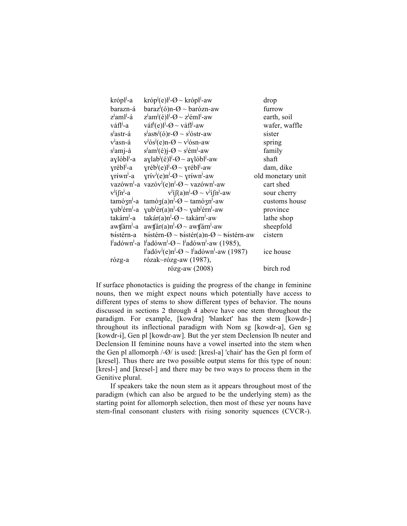| krópl <sup>j</sup> -a                | króp <sup><math>j(e)l^{j}</math></sup> – $\emptyset$ ~ krópľ-aw                                                 | drop              |
|--------------------------------------|-----------------------------------------------------------------------------------------------------------------|-------------------|
| barazn-á                             | $baraz^{j}(\acute{o})n-\Theta \sim bar\acute{o}zn$ -aw                                                          | furrow            |
| z <sup>j</sup> aml <sup>j</sup> -á   | $zjamj(\acute{e})lj-Q \sim zj \acute{e}mlj$ -aw                                                                 | earth, soil       |
| váfl <sup>j</sup> -a                 | váf <sup><math>d</math></sup> (e) <sup><math>l</math></sup> - $\varnothing$ ~ váf <sup><math>l</math></sup> -aw | wafer, waffle     |
| s <sup>J</sup> astr-á                | $s^j$ asts <sup><math>j</math></sup> (ó)r-Ø ~ $s^j$ óstr-aw                                                     | sister            |
| v <sup>j</sup> asn-á                 | $v^{j}$ ós <sup><math>j</math></sup> (e)n-Ø ~ $v^{j}$ ósn-aw                                                    | spring            |
| s <sup>J</sup> amj-á                 | $sjamj(\acute{e})j-\varnothing \sim sj\acute{e}mj$ -aw                                                          | family            |
| aylóbl <sup><i>j</i></sup> -a        | $aylab^{j}(\acute{e})l^{j}$ - $\emptyset$ ~ $ayl\acute{o}bl^{j}$ -aw                                            | shaft             |
| yrébl <sup>j</sup> -a                | $\gamma$ réb <sup>j</sup> (e) <sup><math>l</math></sup> - $\varnothing$ ~ $\gamma$ rébl <sup>j</sup> -aw        | dam, dike         |
| yriwn <sup>J</sup> -a                | $\gamma$ riv <sup>j</sup> (e)n <sup>j</sup> - $\varnothing$ ~ $\gamma$ riwn <sup>j</sup> -aw                    | old monetary unit |
|                                      | vazówn <sup>j</sup> -a vazóv <sup>j</sup> (e)n <sup>j</sup> - $\varnothing$ ~ vazówn <sup>j</sup> -aw           | cart shed         |
| $v^{j}$ i $\int n^{j}$ -a            | $v^{j}$ i $\int (a) n^{j}$ - $\varnothing \sim v^{j}$ i $\int n^{j}$ -aw                                        | sour cherry       |
| tamózn <sup>j</sup> -a               | $\text{tamó}(a) n^{1}$ - $\varnothing$ ~ $\text{tamó}(3n^{1})$ -aw                                              | customs house     |
| yub <sup>j</sup> érn <sup>j</sup> -a | $\chi$ ub <sup>j</sup> ér(a)n <sup>j</sup> - $\varnothing$ ~ $\chi$ ub <sup>j</sup> érn <sup>j</sup> -aw        | province          |
| takárn <sup>j</sup> -a               | $\text{takár}(a) n^1 - \varnothing \sim \text{takárn}^1 - \text{aw}^1$                                          | lathe shop        |
|                                      | awtfárn <sup>-</sup> -a awtfár(a)n <sup>-1</sup> - $\varnothing$ ~ awtfárn <sup>-1</sup> -aw                    | sheepfold         |
|                                      | tsístérn-a tsístérn- $\mathcal{O} \sim$ tsístér(a)n- $\mathcal{O} \sim$ tsístérn-aw                             | cistern           |
|                                      | $l'$ adówn <sup><math>l</math></sup> -a $l'$ adówn $l$ - $\varnothing$ ~ $l'$ adówn $l$ -aw (1985),             |                   |
|                                      | $l'$ adóv <sup>j</sup> (e)n <sup>j</sup> - $\varnothing$ ~ l <sup>j</sup> adówn <sup>j</sup> -aw (1987)         | ice house         |
| rózg-a                               | rózak~rózg-aw $(1987)$ ,                                                                                        |                   |
|                                      | rózg-aw (2008)                                                                                                  | birch rod         |

If surface phonotactics is guiding the progress of the change in feminine nouns, then we might expect nouns which potentially have access to different types of stems to show different types of behavior. The nouns discussed in sections 2 through 4 above have one stem throughout the paradigm. For example, [kowdra] 'blanket' has the stem [kowdr-] throughout its inflectional paradigm with Nom sg [kowdr-a], Gen sg [kowdr-i], Gen pl [kowdr-aw]. But the yer stem Declension Ib neuter and Declension II feminine nouns have a vowel inserted into the stem when the Gen pl allomorph /-Ø/ is used: [kresl-a] 'chair' has the Gen pl form of [kresel]. Thus there are two possible output stems for this type of noun: [kresl-] and [kresel-] and there may be two ways to process them in the Genitive plural.

If speakers take the noun stem as it appears throughout most of the paradigm (which can also be argued to be the underlying stem) as the starting point for allomorph selection, then most of these yer nouns have stem-final consonant clusters with rising sonority squences (CVCR-).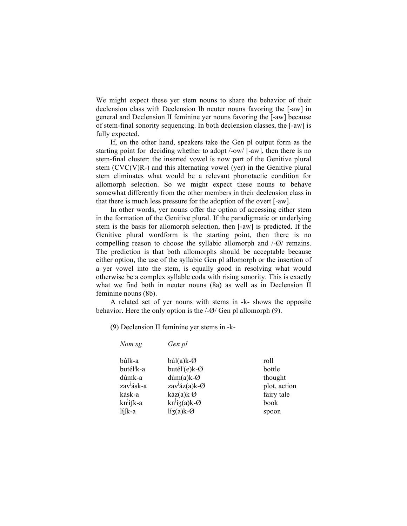We might expect these yer stem nouns to share the behavior of their declension class with Declension Ib neuter nouns favoring the [-aw] in general and Declension II feminine yer nouns favoring the [-aw] because of stem-final sonority sequencing. In both declension classes, the [-aw] is fully expected.

If, on the other hand, speakers take the Gen pl output form as the starting point for deciding whether to adopt /-ow/ [-aw], then there is no stem-final cluster: the inserted vowel is now part of the Genitive plural stem  $(CVC(V)R-)$  and this alternating vowel (yer) in the Genitive plural stem eliminates what would be a relevant phonotactic condition for allomorph selection. So we might expect these nouns to behave somewhat differently from the other members in their declension class in that there is much less pressure for the adoption of the overt [-aw].

In other words, yer nouns offer the option of accessing either stem in the formation of the Genitive plural. If the paradigmatic or underlying stem is the basis for allomorph selection, then [-aw] is predicted. If the Genitive plural wordform is the starting point, then there is no compelling reason to choose the syllabic allomorph and /-Ø/ remains. The prediction is that both allomorphs should be acceptable because either option, the use of the syllabic Gen pl allomorph or the insertion of a yer vowel into the stem, is equally good in resolving what would otherwise be a complex syllable coda with rising sonority. This is exactly what we find both in neuter nouns (8a) as well as in Declension II feminine nouns (8b).

A related set of yer nouns with stems in -k- shows the opposite behavior. Here the only option is the /-Ø/ Gen pl allomorph (9).

(9) Declension II feminine yer stems in -k-

| Nom sg                 | Gen pl                                               |              |
|------------------------|------------------------------------------------------|--------------|
| búlk-a                 | $búl(a)k-Ø$                                          | roll         |
| butél <sup>'</sup> k-a | butél <sup>j</sup> (e)k- $\varnothing$               | bottle       |
| dúmk-a                 | $d$ úm $(a)$ k-Ø                                     | thought      |
| zav <sup>j</sup> ásk-a | zav <sup>j</sup> áz(a)k-Ø                            | plot, action |
| kásk-a                 | $káz(a)k$ Ø                                          | fairy tale   |
| kn <sup>j</sup> í [k-a | $kn^{j}$ iz(a)k-Ø                                    | book         |
| $\frac{1}{4}$ [k-a     | $l_{\mathbf{1}(\mathbf{a})\mathbf{k} - \mathcal{O}}$ | spoon        |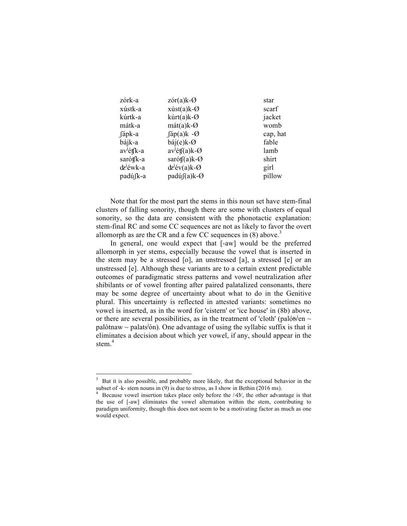| zórk-a                            | $z$ ór(a) $k$ - $\varnothing$ | star     |
|-----------------------------------|-------------------------------|----------|
| xústk-a                           | $x$ úst $(a)$ k-Ø             | scarf    |
| kúrtk-a                           | $kúrt(a)k-Q$                  | jacket   |
| mátk-a                            | $m\acute{a}t(a)k-\varnothing$ | womb     |
| fápk-a                            | $\int$ áp(a)k -Ø              | cap, hat |
| bájk-a                            | $báj(e)k-Ø$                   | fable    |
| av <sup>j</sup> ét <sub>k-a</sub> | $av^j$ ét $f(a)$ k-Ø          | lamb     |
| sarót <sub>k-a</sub>              | sarót $f(a)k-Q$               | shirt    |
| dz <sup>j</sup> éwk-a             | $dz^{j}$ év(a)k-Ø             | girl     |
| padú <sub>[k-a</sub>              | $padú(f(a)k-Ø)$               | pillow   |

Note that for the most part the stems in this noun set have stem-final clusters of falling sonority, though there are some with clusters of equal sonority, so the data are consistent with the phonotactic explanation: stem-final RC and some CC sequences are not as likely to favor the overt allomorph as are the CR and a few CC sequences in  $(8)$  above.<sup>3</sup>

In general, one would expect that  $[-aw]$  would be the preferred allomorph in yer stems, especially because the vowel that is inserted in the stem may be a stressed [o], an unstressed [a], a stressed [e] or an unstressed [e]. Although these variants are to a certain extent predictable outcomes of paradigmatic stress patterns and vowel neutralization after shibilants or of vowel fronting after paired palatalized consonants, there may be some degree of uncertainty about what to do in the Genitive plural. This uncertainty is reflected in attested variants: sometimes no vowel is inserted, as in the word for 'cistern' or 'ice house' in (8b) above, or there are several possibilities, as in the treatment of 'cloth' (palóts<sup>j</sup>en  $\sim$ palótnaw  $\sim$  palats<sup>j</sup>ón). One advantage of using the syllabic suffix is that it eliminates a decision about which yer vowel, if any, should appear in the stem. 4

<sup>&</sup>lt;sup>3</sup> But it is also possible, and probably more likely, that the exceptional behavior in the subset of -k- stem nouns in (9) is due to stress, as I show in Bethin (2016 ms).  $4$  Because vowel insertion takes place only before the /-Ø/, the other advantage is that

the use of [-aw] eliminates the vowel alternation within the stem, contributing to paradigm uniformity, though this does not seem to be a motivating factor as much as one would expect.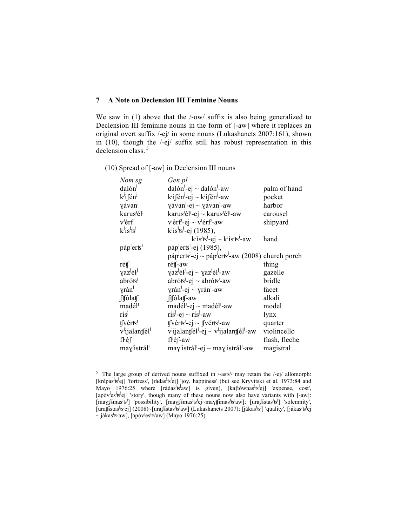# **7 A Note on Declension III Feminine Nouns**

We saw in (1) above that the  $\text{/}-ow/\text{suffix}$  is also being generalized to Declension III feminine nouns in the form of [-aw] where it replaces an original overt suffix /-ej/ in some nouns (Lukashanets 2007:161), shown in (10), though the /-ej/ suffix still has robust representation in this declension class.<sup>5</sup>

## (10) Spread of [-aw] in Declension III nouns

| Nom sg                                 | Gen pl                                                                                                                 |               |
|----------------------------------------|------------------------------------------------------------------------------------------------------------------------|---------------|
| dalón                                  | dalón <sup><math>J</math></sup> -ej ~ dalón <sup><math>J</math></sup> -aw                                              | palm of hand  |
| $k^{j}$ ifén <sup>j</sup>              | $k^j$ ifén <sup>j</sup> -ej ~ $k^j$ ifén <sup>j</sup> -aw                                                              | pocket        |
| yávan <sup>j</sup>                     | $\chi$ ávan <sup><math>J</math></sup> -ej ~ $\chi$ ávan <sup><math>J</math></sup> -aw                                  | harbor        |
| karus <sup>j</sup> él <sup>j</sup>     | karus <sup>j</sup> él <sup>j</sup> -ej ~ karus <sup>j</sup> él <sup>j</sup> -aw                                        | carousel      |
| v <sup>j</sup> érf                     | $v^{j}$ érf <sup>3</sup> -ej ~ v <sup><math>j</math></sup> érf <sup>3</sup> -aw                                        | shipyard      |
| $k^j$ ís <sup>j</sup> ts <sup>j</sup>  | $k^{j}$ ís <sup>j</sup> ts <sup>j</sup> -ej (1985),                                                                    |               |
|                                        | $k^j$ ís <sup>j</sup> ts <sup>j</sup> -ej ~ $k^j$ ís <sup>j</sup> ts <sup>j</sup> -aw                                  | hand          |
| páp <sup>j</sup> erts <sup>j</sup>     | páp <sup>J</sup> erts <sup>J</sup> -ej (1985),                                                                         |               |
|                                        | $p\acute{a}p\acute{b}er$ ts <sup>1</sup> -ej ~ páp <sup><math>j</math></sup> erts <sup>1</sup> -aw (2008) church porch |               |
| rétf                                   | rétf-aw                                                                                                                | thing         |
| yaz <sup>j</sup> él <sup>j</sup>       | $\gamma$ az <sup>j</sup> él <sup>j</sup> -ej ~ $\gamma$ az <sup>j</sup> él <sup>j</sup> -aw                            | gazelle       |
| abróts                                 | $abr$ óts <sup><math>l</math></sup> -ej ~ abróts <sup><math>l</math></sup> -aw                                         | bridle        |
| yrán                                   | $y \ranh$ -ej ~ $y \ranh$ -aw                                                                                          | facet         |
| <b>ft</b> ólatf                        | ftfólatf-aw                                                                                                            | alkali        |
| madél <sup>J</sup>                     | madél <sup><math>j</math></sup> -ej ~ madél <sup><math>j</math></sup> -aw                                              | model         |
| $\operatorname{ris}^{\mathrm{J}}$      | $rfsj-ej \sim rfsj-aw$                                                                                                 | lynx          |
| tfvérts <sup>1</sup>                   | $\oint$ vérts <sup>1</sup> -ej ~ $\oint$ vérts <sup>1</sup> -aw                                                        | quarter       |
| v <sup>l</sup> ijalantfél <sup>j</sup> | $v^j$ ijalantfél <sup>j</sup> -ej ~ v <sup><i>i</i></sup> ijalantfél <sup>j</sup> -aw                                  | violincello   |
| $flj$ é $\int$                         | fl <sup>j</sup> éf-aw                                                                                                  | flash, fleche |
| may <sup>j</sup> istrál <sup>j</sup>   | $\text{may}^{\text{J}}\text{istrál}^{\text{J}}-\text{ej} \sim \text{may}^{\text{J}}\text{istrál}^{\text{J}}\text{-aw}$ | magistral     |

<sup>&</sup>lt;sup>5</sup> The large group of derived nouns suffixed in  $/-\text{ast}^{j}/\text{ may retain the }/-\text{ej}/\text{ allomorph:}$ [krépas<sup>i</sup>ts<sup>j</sup>ej] 'fortress', [rádas<sup>i</sup>ts<sup>j</sup>ej] 'joy, happiness' (but see Kryvitski et al. 1973:84 and Mayo 1976:25 where [rádas<sup>i</sup>ts<sup>i</sup>aw] is given), [kaftównas<sup>i</sup>ts<sup>i</sup>ej] 'expense, cost', [apóv<sup>j</sup>es<sup>j</sup>ts<sup>j</sup>ej] 'story', though many of these nouns now also have variants with [-aw]: [mayfimas<sup>i</sup>ts<sup>]</sup>] 'possibility', [mayfimas<sup>i</sup>ts<sup>j</sup>ej~mayfimas<sup>i</sup>ts<sup>j</sup>aw]; [urafistas<sup>j</sup>ts<sup>j</sup>] 'solemnity', [urat]istas<sup>i</sup>ts<sup>i</sup>ej] (2008)~[urat]istas<sup>i</sup>ts<sup>i</sup>aw] (Lukashanets 2007); [jákas<sup>i</sup>ts<sup>i</sup>] 'quality', [jákas<sup>i</sup>ts<sup>i</sup>ej ~ jákas<sup>j</sup>ts<sup>j</sup>aw], [apóv<sup>j</sup>es<sup>j</sup>ts<sup>j</sup>aw] (Mayo 1976:25).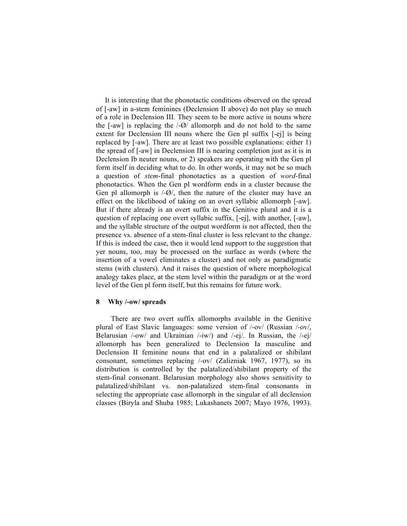It is interesting that the phonotactic conditions observed on the spread of [-aw] in a-stem feminines (Declension II above) do not play so much of a role in Declension III. They seem to be more active in nouns where the  $[-aw]$  is replacing the  $\frac{1}{Q}$  allomorph and do not hold to the same extent for Declension III nouns where the Gen pl suffix [-ej] is being replaced by [-aw]. There are at least two possible explanations: either 1) the spread of [-aw] in Declension III is nearing completion just as it is in Declension Ib neuter nouns, or 2) speakers are operating with the Gen pl form itself in deciding what to do. In other words, it may not be so much a question of *stem*-final phonotactics as a question of *word*-final phonotactics. When the Gen pl wordform ends in a cluster because the Gen pl allomorph is /-Ø/, then the nature of the cluster may have an effect on the likelihood of taking on an overt syllabic allomorph [-aw]. But if there already is an overt suffix in the Genitive plural and it is a question of replacing one overt syllabic suffix, [-ej], with another, [-aw], and the syllable structure of the output wordform is not affected, then the presence vs. absence of a stem-final cluster is less relevant to the change. If this is indeed the case, then it would lend support to the suggestion that yer nouns, too, may be processed on the surface as words (where the insertion of a vowel eliminates a cluster) and not only as paradigmatic stems (with clusters). And it raises the question of where morphological analogy takes place, at the stem level within the paradigm or at the word level of the Gen pl form itself, but this remains for future work.

#### **8 Why /-ow/ spreads**

There are two overt suffix allomorphs available in the Genitive plural of East Slavic languages: some version of /-ov/ (Russian /-ov/, Belarusian /-ow/ and Ukrainian /-iw/) and /-ej/. In Russian, the /-ej/ allomorph has been generalized to Declension Ia masculine and Declension II feminine nouns that end in a palatalized or shibilant consonant, sometimes replacing /-ov/ (Zalizniak 1967, 1977), so its distribution is controlled by the palatalized/shibilant property of the stem-final consonant. Belarusian morphology also shows sensitivity to palatalized/shibilant vs. non-palatalized stem-final consonants in selecting the appropriate case allomorph in the singular of all declension classes (Biryla and Shuba 1985; Lukashanets 2007; Mayo 1976, 1993).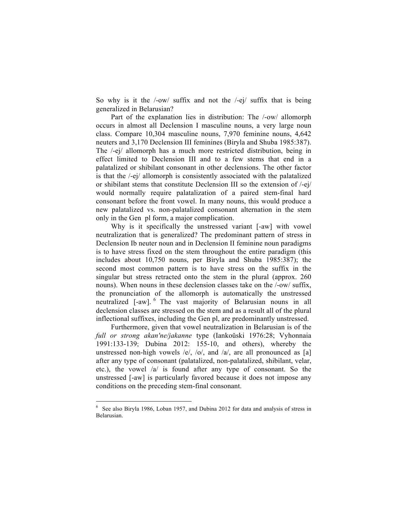So why is it the /-ow/ suffix and not the /-ej/ suffix that is being generalized in Belarusian?

Part of the explanation lies in distribution: The /-ow/ allomorph occurs in almost all Declension I masculine nouns, a very large noun class. Compare 10,304 masculine nouns, 7,970 feminine nouns, 4,642 neuters and 3,170 Declension III feminines (Biryla and Shuba 1985:387). The /-ej/ allomorph has a much more restricted distribution, being in effect limited to Declension III and to a few stems that end in a palatalized or shibilant consonant in other declensions. The other factor is that the /-ej/ allomorph is consistently associated with the palatalized or shibilant stems that constitute Declension III so the extension of /-ej/ would normally require palatalization of a paired stem-final hard consonant before the front vowel. In many nouns, this would produce a new palatalized vs. non-palatalized consonant alternation in the stem only in the Gen pl form, a major complication.

Why is it specifically the unstressed variant [-aw] with vowel neutralization that is generalized? The predominant pattern of stress in Declension Ib neuter noun and in Declension II feminine noun paradigms is to have stress fixed on the stem throughout the entire paradigm (this includes about 10,750 nouns, per Biryla and Shuba 1985:387); the second most common pattern is to have stress on the suffix in the singular but stress retracted onto the stem in the plural (approx. 260 nouns). When nouns in these declension classes take on the /-ow/ suffix, the pronunciation of the allomorph is automatically the unstressed neutralized [-aw]. <sup>6</sup> The vast majority of Belarusian nouns in all declension classes are stressed on the stem and as a result all of the plural inflectional suffixes, including the Gen pl, are predominantly unstressed.

Furthermore, given that vowel neutralization in Belarusian is of the *full or strong akan'ne/jakanne* type (Iankoŭski 1976:28; Vyhonnaia 1991:133-139; Dubina 2012: 155-10, and others), whereby the unstressed non-high vowels /e/, /o/, and /a/, are all pronounced as [a] after any type of consonant (palatalized, non-palatalized, shibilant, velar, etc.), the vowel /a/ is found after any type of consonant. So the unstressed [-aw] is particularly favored because it does not impose any conditions on the preceding stem-final consonant.

 <sup>6</sup> See also Biryla 1986, Loban 1957, and Dubina 2012 for data and analysis of stress in Belarusian.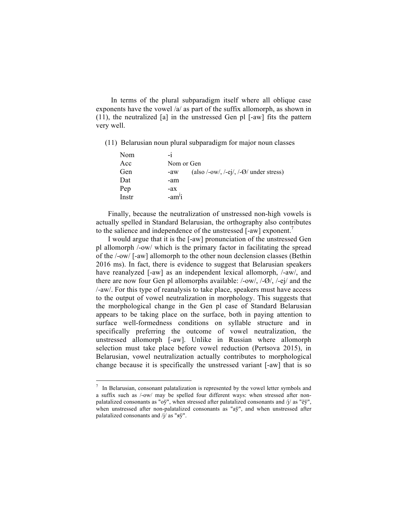In terms of the plural subparadigm itself where all oblique case exponents have the vowel /a/ as part of the suffix allomorph, as shown in (11), the neutralized [a] in the unstressed Gen pl [-aw] fits the pattern very well.

(11) Belarusian noun plural subparadigm for major noun classes

| Nom   | $-1$                                                        |
|-------|-------------------------------------------------------------|
| Acc   | Nom or Gen                                                  |
| Gen   | (also /-ow/, /-ej/, /- $\varnothing$ / under stress)<br>-aw |
| Dat   | -am                                                         |
| Pep   | -ax                                                         |
| Instr | $-amji$                                                     |

Finally, because the neutralization of unstressed non-high vowels is actually spelled in Standard Belarusian, the orthography also contributes to the salience and independence of the unstressed [-aw] exponent.<sup>7</sup>

I would argue that it is the [-aw] pronunciation of the unstressed Gen pl allomorph /-ow/ which is the primary factor in facilitating the spread of the /-ow/ [-aw] allomorph to the other noun declension classes (Bethin 2016 ms). In fact, there is evidence to suggest that Belarusian speakers have reanalyzed [-aw] as an independent lexical allomorph,  $/$ -aw $/$ , and there are now four Gen pl allomorphs available: /-ow/, /-Ø/, /-ej/ and the /-aw/. For this type of reanalysis to take place, speakers must have access to the output of vowel neutralization in morphology. This suggests that the morphological change in the Gen pl case of Standard Belarusian appears to be taking place on the surface, both in paying attention to surface well-formedness conditions on syllable structure and in specifically preferring the outcome of vowel neutralization, the unstressed allomorph [-aw]. Unlike in Russian where allomorph selection must take place before vowel reduction (Pertsova 2015), in Belarusian, vowel neutralization actually contributes to morphological change because it is specifically the unstressed variant [-aw] that is so

 $\frac{7}{1}$  In Belarusian, consonant palatalization is represented by the vowel letter symbols and a suffix such as /-ow/ may be spelled four different ways: when stressed after nonpalatalized consonants as "o $\check{y}$ ", when stressed after palatalized consonants and /j/ as "e $\check{y}$ ", when unstressed after non-palatalized consonants as "ay", and when unstressed after palatalized consonants and /j/ as "яў".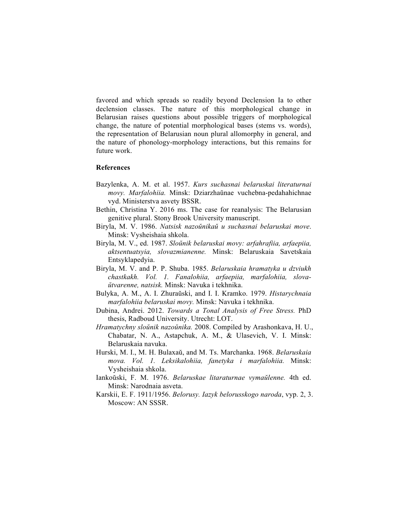favored and which spreads so readily beyond Declension Ia to other declension classes. The nature of this morphological change in Belarusian raises questions about possible triggers of morphological change, the nature of potential morphological bases (stems vs. words), the representation of Belarusian noun plural allomorphy in general, and the nature of phonology-morphology interactions, but this remains for future work.

## **References**

- Bazylenka, A. M. et al. 1957. *Kurs suchasnai belaruskai literaturnai movy. Marfalohiia.* Minsk: Dziarzhaŭnae vuchebna-pedahahichnae vyd. Ministerstva asvety BSSR.
- Bethin, Christina Y. 2016 ms. The case for reanalysis: The Belarusian genitive plural. Stony Brook University manuscript.
- Biryla, M. V. 1986. *Natsisk nazoŭnikaŭ u suchasnai belaruskai move*. Minsk: Vysheishaia shkola.
- Biryla, M. V., ed. 1987. *Sloŭnik belaruskai movy: arfahrafiia, arfaepiia, aktsentuatsyia, slovazmianenne.* Minsk: Belaruskaia Savetskaia Entsyklapedyia.
- Biryla, M. V. and P. P. Shuba. 1985. *Belaruskaia hramatyka u dzviukh chastkakh. Vol. 1. Fanalohiia, arfaepiia, marfalohiia, slovaŭtvarenne, natsisk.* Minsk: Navuka i tekhnika.
- Bulyka, A. M., A. I. Zhuraŭski, and I. I. Kramko. 1979. *Histarychnaia marfalohiia belaruskai movy.* Minsk: Navuka i tekhnika.
- Dubina, Andrei. 2012. *Towards a Tonal Analysis of Free Stress.* PhD thesis, Radboud University. Utrecht: LOT.
- *Hramatychny sloŭnik nazoŭnika.* 2008. Compiled by Arashonkava, H. U., Chabatar, N. A., Astapchuk, A. M., & Ulasevich, V. I. Minsk: Belaruskaia navuka.
- Hurski, M. I., M. H. Bulaxaŭ, and M. Ts. Marchanka. 1968. *Belaruskaia mova. Vol. 1. Leksikalohiia, fanetyka i marfalohiia.* Minsk: Vysheishaia shkola.
- Iankoŭski, F. M. 1976. *Belaruskae litaraturnae vymaŭlenne.* 4th ed. Minsk: Narodnaia asveta.
- Karskii, E. F. 1911/1956. *Belorusy. Iazyk belorusskogo naroda*, vyp. 2, 3. Moscow: AN SSSR.